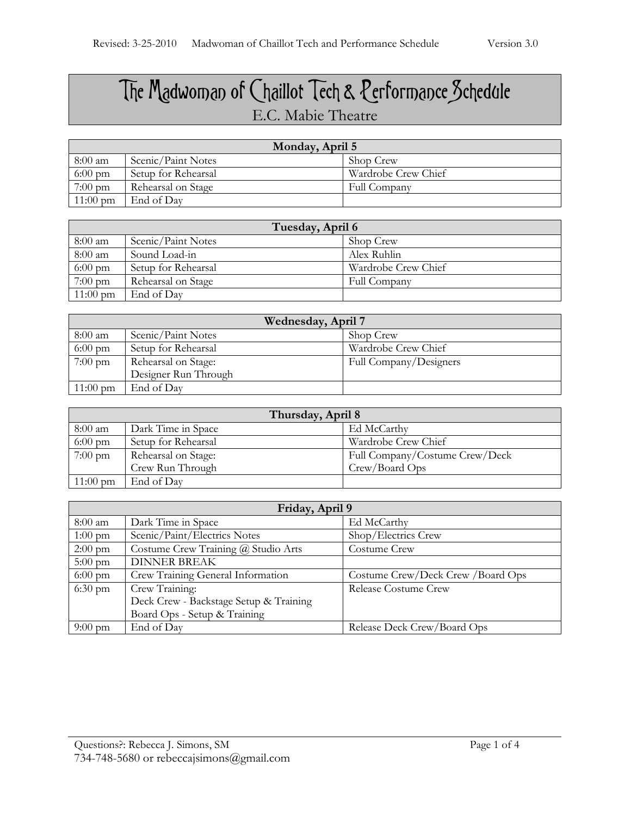## The Madwoman of Chaillot Tech & Performance Schedule E.C. Mabie Theatre

| Monday, April 5    |                     |                     |
|--------------------|---------------------|---------------------|
| 8:00 am            | Scenic/Paint Notes  | Shop Crew           |
| $6:00 \text{ pm}$  | Setup for Rehearsal | Wardrobe Crew Chief |
| $7:00 \text{ pm}$  | Rehearsal on Stage  | Full Company        |
| $11:00 \text{ pm}$ | End of Day          |                     |

| Tuesday, April 6   |                     |                     |
|--------------------|---------------------|---------------------|
| 8:00 am            | Scenic/Paint Notes  | Shop Crew           |
| 8:00 am            | Sound Load-in       | Alex Ruhlin         |
| $6:00 \text{ pm}$  | Setup for Rehearsal | Wardrobe Crew Chief |
| $7:00 \text{ pm}$  | Rehearsal on Stage  | Full Company        |
| $11:00 \text{ pm}$ | End of Day          |                     |

| Wednesday, April 7 |                      |                        |
|--------------------|----------------------|------------------------|
| $8:00 \text{ am}$  | Scenic/Paint Notes   | Shop Crew              |
| $6:00 \text{ pm}$  | Setup for Rehearsal  | Wardrobe Crew Chief    |
| $7:00 \text{ pm}$  | Rehearsal on Stage:  | Full Company/Designers |
|                    | Designer Run Through |                        |
| $11:00 \text{ pm}$ | End of Day           |                        |

| Thursday, April 8  |                     |                                |
|--------------------|---------------------|--------------------------------|
| $8:00 \text{ am}$  | Dark Time in Space  | Ed McCarthy                    |
| $6:00 \text{ pm}$  | Setup for Rehearsal | Wardrobe Crew Chief            |
| $7:00 \text{ pm}$  | Rehearsal on Stage: | Full Company/Costume Crew/Deck |
|                    | Crew Run Through    | Crew/Board Ops                 |
| $11:00 \text{ pm}$ | End of Day          |                                |

| Friday, April 9   |                                        |                                   |
|-------------------|----------------------------------------|-----------------------------------|
| 8:00 am           | Dark Time in Space                     | Ed McCarthy                       |
| $1:00 \text{ pm}$ | Scenic/Paint/Electrics Notes           | Shop/Electrics Crew               |
| $2:00 \text{ pm}$ | Costume Crew Training @ Studio Arts    | Costume Crew                      |
| $5:00 \text{ pm}$ | <b>DINNER BREAK</b>                    |                                   |
| $6:00 \text{ pm}$ | Crew Training General Information      | Costume Crew/Deck Crew /Board Ops |
| $6:30 \text{ pm}$ | Crew Training:                         | Release Costume Crew              |
|                   | Deck Crew - Backstage Setup & Training |                                   |
|                   | Board Ops - Setup & Training           |                                   |
| $9:00 \text{ pm}$ | End of Day                             | Release Deck Crew/Board Ops       |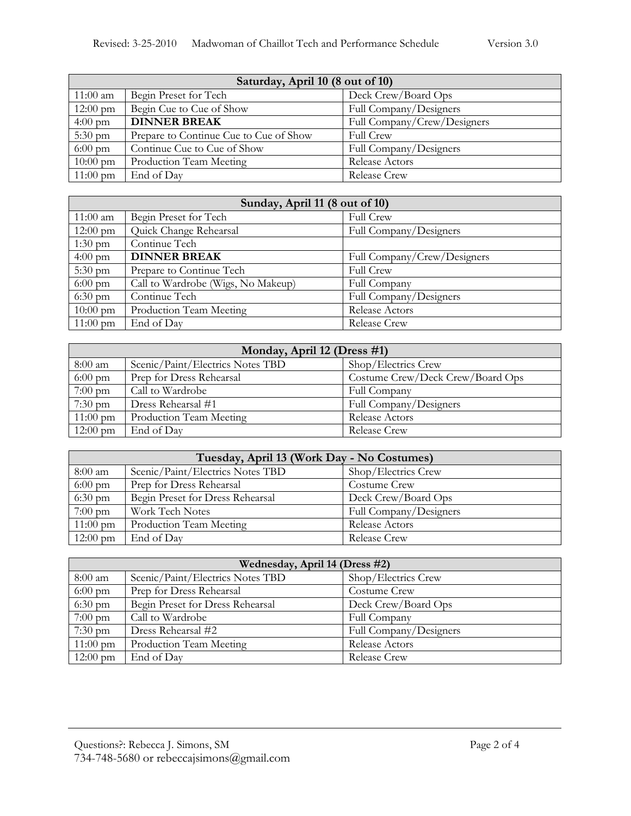| Saturday, April 10 (8 out of 10) |                                        |                             |
|----------------------------------|----------------------------------------|-----------------------------|
| $11:00$ am                       | Begin Preset for Tech                  | Deck Crew/Board Ops         |
| $12:00 \text{ pm}$               | Begin Cue to Cue of Show               | Full Company/Designers      |
| $4:00 \text{ pm}$                | <b>DINNER BREAK</b>                    | Full Company/Crew/Designers |
| $5:30 \text{ pm}$                | Prepare to Continue Cue to Cue of Show | <b>Full Crew</b>            |
| $6:00 \text{ pm}$                | Continue Cue to Cue of Show            | Full Company/Designers      |
| $10:00 \text{ pm}$               | Production Team Meeting                | Release Actors              |
| $11:00 \text{ pm}$               | End of Day                             | Release Crew                |

| Sunday, April 11 (8 out of 10) |                                    |                             |
|--------------------------------|------------------------------------|-----------------------------|
| $11:00$ am                     | Begin Preset for Tech              | <b>Full Crew</b>            |
| $12:00 \text{ pm}$             | Quick Change Rehearsal             | Full Company/Designers      |
| $1:30 \text{ pm}$              | Continue Tech                      |                             |
| $4:00 \text{ pm}$              | <b>DINNER BREAK</b>                | Full Company/Crew/Designers |
| $5:30 \text{ pm}$              | Prepare to Continue Tech           | <b>Full Crew</b>            |
| $6:00 \text{ pm}$              | Call to Wardrobe (Wigs, No Makeup) | Full Company                |
| $6:30 \text{ pm}$              | Continue Tech                      | Full Company/Designers      |
| $10:00 \text{ pm}$             | Production Team Meeting            | Release Actors              |
| $11:00 \text{ pm}$             | End of Day                         | <b>Release Crew</b>         |

| Monday, April 12 (Dress #1) |                                  |                                  |
|-----------------------------|----------------------------------|----------------------------------|
| 8:00 am                     | Scenic/Paint/Electrics Notes TBD | Shop/Electrics Crew              |
| $6:00 \text{ pm}$           | Prep for Dress Rehearsal         | Costume Crew/Deck Crew/Board Ops |
| $7:00 \text{ pm}$           | Call to Wardrobe                 | Full Company                     |
| $7:30 \text{ pm}$           | Dress Rehearsal #1               | Full Company/Designers           |
| $11:00 \text{ pm}$          | Production Team Meeting          | Release Actors                   |
| $12:00 \text{ pm}$          | End of Day                       | Release Crew                     |

| Tuesday, April 13 (Work Day - No Costumes) |                                  |                        |
|--------------------------------------------|----------------------------------|------------------------|
| 8:00 am                                    | Scenic/Paint/Electrics Notes TBD | Shop/Electrics Crew    |
| $6:00 \text{ pm}$                          | Prep for Dress Rehearsal         | Costume Crew           |
| $6:30 \text{ pm}$                          | Begin Preset for Dress Rehearsal | Deck Crew/Board Ops    |
| $7:00 \text{ pm}$                          | Work Tech Notes                  | Full Company/Designers |
| $11:00 \text{ pm}$                         | Production Team Meeting          | Release Actors         |
| $12:00 \text{ pm}$                         | End of Day                       | Release Crew           |

| Wednesday, April 14 (Dress #2) |                                  |                        |
|--------------------------------|----------------------------------|------------------------|
| 8:00 am                        | Scenic/Paint/Electrics Notes TBD | Shop/Electrics Crew    |
| $6:00 \text{ pm}$              | Prep for Dress Rehearsal         | Costume Crew           |
| $6:30 \text{ pm}$              | Begin Preset for Dress Rehearsal | Deck Crew/Board Ops    |
| $7:00 \text{ pm}$              | Call to Wardrobe                 | Full Company           |
| $7:30 \text{ pm}$              | Dress Rehearsal #2               | Full Company/Designers |
| $11:00 \text{ pm}$             | Production Team Meeting          | Release Actors         |
| $12:00 \text{ pm}$             | End of Day                       | <b>Release Crew</b>    |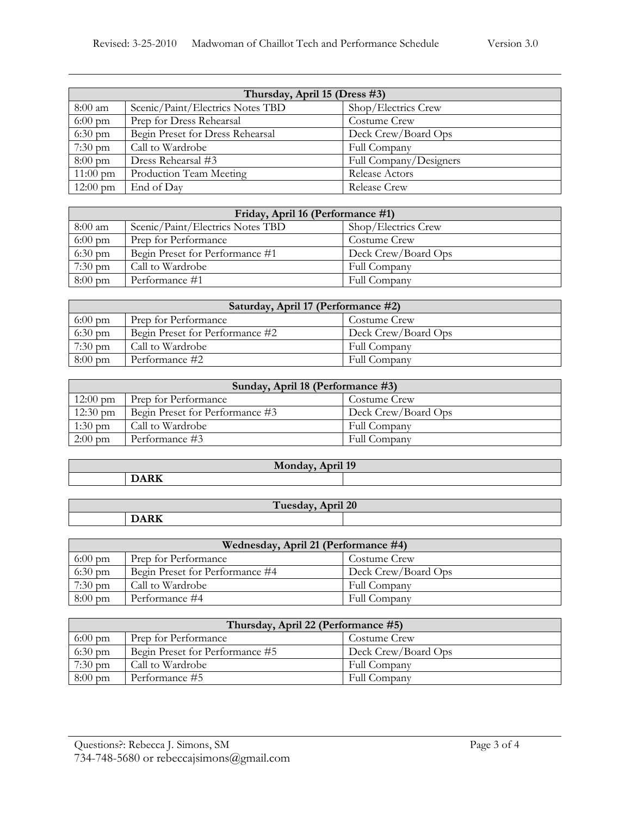| Thursday, April 15 (Dress #3) |                                  |                        |
|-------------------------------|----------------------------------|------------------------|
| $8:00$ am                     | Scenic/Paint/Electrics Notes TBD | Shop/Electrics Crew    |
| $6:00 \text{ pm}$             | Prep for Dress Rehearsal         | Costume Crew           |
| $6:30 \text{ pm}$             | Begin Preset for Dress Rehearsal | Deck Crew/Board Ops    |
| $7:30 \text{ pm}$             | Call to Wardrobe                 | Full Company           |
| $8:00 \text{ pm}$             | Dress Rehearsal #3               | Full Company/Designers |
| $11:00 \text{ pm}$            | Production Team Meeting          | Release Actors         |
| $12:00 \text{ pm}$            | End of Day                       | Release Crew           |

| Friday, April 16 (Performance #1) |                                  |                     |
|-----------------------------------|----------------------------------|---------------------|
| $8:00$ am                         | Scenic/Paint/Electrics Notes TBD | Shop/Electrics Crew |
| $6:00 \text{ pm}$                 | Prep for Performance             | Costume Crew        |
| $6:30 \text{ pm}$                 | Begin Preset for Performance #1  | Deck Crew/Board Ops |
| $7:30$ pm                         | Call to Wardrobe                 | Full Company        |
| $8:00 \text{ pm}$                 | Performance #1                   | Full Company        |

| Saturday, April 17 (Performance #2) |                                 |                     |
|-------------------------------------|---------------------------------|---------------------|
| $6:00 \text{ pm}$                   | Prep for Performance            | Costume Crew        |
| $6:30 \text{ pm}$                   | Begin Preset for Performance #2 | Deck Crew/Board Ops |
| $7:30 \text{ pm}$                   | Call to Wardrobe                | Full Company        |
| $8:00 \text{ pm}$                   | Performance #2                  | <b>Full Company</b> |

| Sunday, April 18 (Performance #3) |                                 |                     |
|-----------------------------------|---------------------------------|---------------------|
| $12:00 \text{ pm}$                | <b>Prep for Performance</b>     | Costume Crew        |
| $12:30 \text{ pm}$                | Begin Preset for Performance #3 | Deck Crew/Board Ops |
| $1:30$ pm                         | Call to Wardrobe                | Full Company        |
| $2:00 \text{ pm}$                 | Performance #3                  | Full Company        |

| $\overline{10}$<br>monday<br>111. |                                                                                                                                             |  |  |
|-----------------------------------|---------------------------------------------------------------------------------------------------------------------------------------------|--|--|
|                                   | $\overline{\phantom{a}}$<br>the contract of the contract of the contract of the contract of the contract of the contract of the contract of |  |  |
|                                   |                                                                                                                                             |  |  |

| i120<br>. <b>.</b><br>1 acoup |              |  |  |
|-------------------------------|--------------|--|--|
|                               | $\mathbf{r}$ |  |  |

| Wednesday, April 21 (Performance #4) |                                 |                     |  |
|--------------------------------------|---------------------------------|---------------------|--|
| $6:00 \text{ pm}$                    | Prep for Performance            | Costume Crew        |  |
| $6:30 \text{ pm}$                    | Begin Preset for Performance #4 | Deck Crew/Board Ops |  |
| $7:30 \text{ pm}$                    | Call to Wardrobe                | Full Company        |  |
| $8:00 \text{ pm}$                    | Performance #4                  | Full Company        |  |

| Thursday, April 22 (Performance #5) |                                 |                     |
|-------------------------------------|---------------------------------|---------------------|
| $6:00 \text{ pm}$                   | Prep for Performance            | Costume Crew        |
| $6:30$ pm                           | Begin Preset for Performance #5 | Deck Crew/Board Ops |
| $7:30 \text{ pm}$                   | Call to Wardrobe                | Full Company        |
| $8:00 \text{ pm}$                   | Performance #5                  | Full Company        |